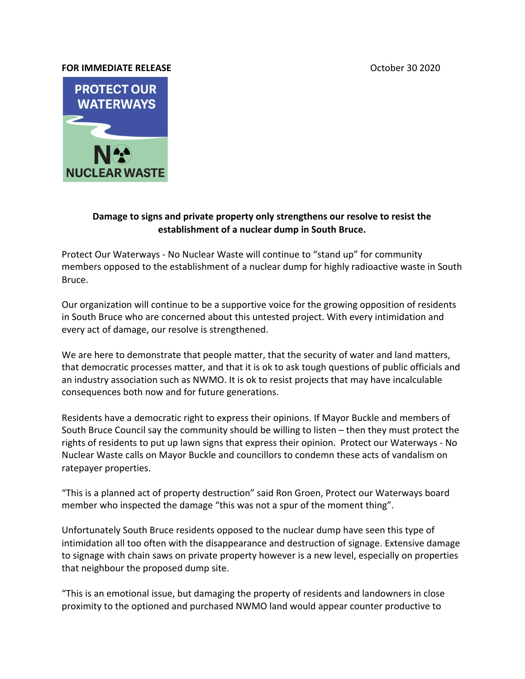## **FOR IMMEDIATE RELEASE CONSUMING A SEXUAL SEXUAL SEXUAL SEXUAL SEXUAL SEXUAL SEXUAL SEXUAL SEXUAL SEXUAL SEXUAL**



## **Damage to signs and private property only strengthens our resolve to resist the establishment of a nuclear dump in South Bruce.**

Protect Our Waterways - No Nuclear Waste will continue to "stand up" for community members opposed to the establishment of a nuclear dump for highly radioactive waste in South Bruce.

Our organization will continue to be a supportive voice for the growing opposition of residents in South Bruce who are concerned about this untested project. With every intimidation and every act of damage, our resolve is strengthened.

We are here to demonstrate that people matter, that the security of water and land matters, that democratic processes matter, and that it is ok to ask tough questions of public officials and an industry association such as NWMO. It is ok to resist projects that may have incalculable consequences both now and for future generations.

Residents have a democratic right to express their opinions. If Mayor Buckle and members of South Bruce Council say the community should be willing to listen – then they must protect the rights of residents to put up lawn signs that express their opinion. Protect our Waterways - No Nuclear Waste calls on Mayor Buckle and councillors to condemn these acts of vandalism on ratepayer properties.

"This is a planned act of property destruction" said Ron Groen, Protect our Waterways board member who inspected the damage "this was not a spur of the moment thing".

Unfortunately South Bruce residents opposed to the nuclear dump have seen this type of intimidation all too often with the disappearance and destruction of signage. Extensive damage to signage with chain saws on private property however is a new level, especially on properties that neighbour the proposed dump site.

"This is an emotional issue, but damaging the property of residents and landowners in close proximity to the optioned and purchased NWMO land would appear counter productive to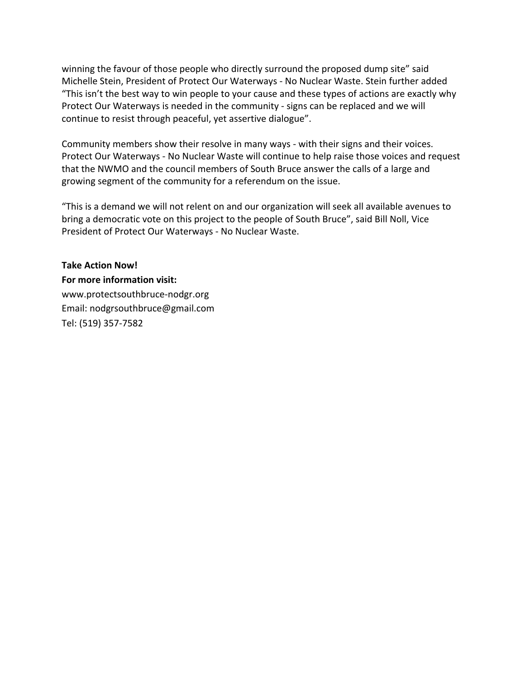winning the favour of those people who directly surround the proposed dump site" said Michelle Stein, President of Protect Our Waterways - No Nuclear Waste. Stein further added "This isn't the best way to win people to your cause and these types of actions are exactly why Protect Our Waterways is needed in the community - signs can be replaced and we will continue to resist through peaceful, yet assertive dialogue".

Community members show their resolve in many ways - with their signs and their voices. Protect Our Waterways - No Nuclear Waste will continue to help raise those voices and request that the NWMO and the council members of South Bruce answer the calls of a large and growing segment of the community for a referendum on the issue.

"This is a demand we will not relent on and our organization will seek all available avenues to bring a democratic vote on this project to the people of South Bruce", said Bill Noll, Vice President of Protect Our Waterways - No Nuclear Waste.

**Take Action Now! For more information visit:** [www.protectsouthbruce-nodgr.org](http://www.protectsouthbruce-nodgr.org/) Email: [nodgrsouthbruce@gmail.com](mailto:nodgrsouthbruce@gmail.com) Tel: (519) 357-7582